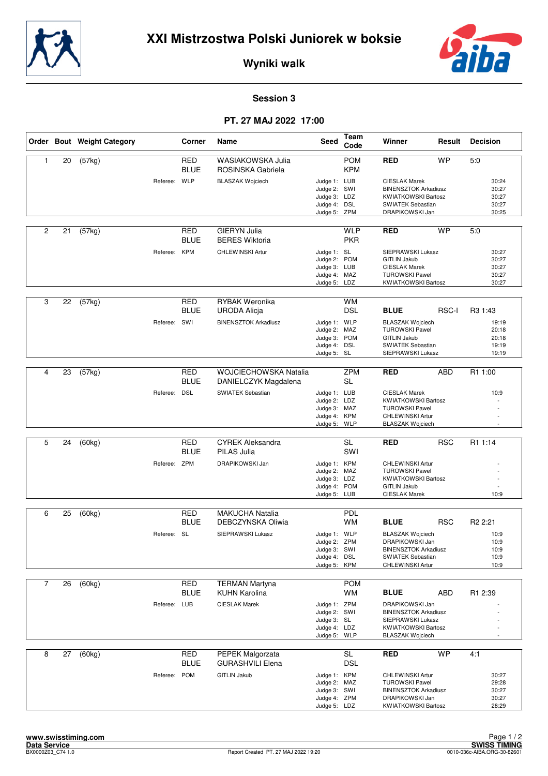



**Wyniki walk**

## **Session 3**

## **PT. 27 MAJ 2022 17:00**

|                |    | Order Bout Weight Category |              | Corner                    | Name                                          | <b>Seed</b>                                                 | <b>Team</b><br>Code      | Winner                                                                                    | Result     | <b>Decision</b>                  |
|----------------|----|----------------------------|--------------|---------------------------|-----------------------------------------------|-------------------------------------------------------------|--------------------------|-------------------------------------------------------------------------------------------|------------|----------------------------------|
| 1              | 20 | (57kg)                     |              | <b>RED</b><br><b>BLUE</b> | WASIAKOWSKA Julia<br>ROSINSKA Gabriela        |                                                             | <b>POM</b><br><b>KPM</b> | <b>RED</b>                                                                                | <b>WP</b>  | 5:0                              |
|                |    |                            | Referee: WLP |                           | <b>BLASZAK Wojciech</b>                       | Judge 1: LUB<br>Judge 2: SWI<br>Judge 3: LDZ                |                          | <b>CIESLAK Marek</b><br><b>BINENSZTOK Arkadiusz</b><br><b>KWIATKOWSKI Bartosz</b>         |            | 30:24<br>30:27<br>30:27          |
|                |    |                            |              |                           |                                               | Judge 4: DSL<br>Judge 5: ZPM                                |                          | <b>SWIATEK Sebastian</b><br>DRAPIKOWSKI Jan                                               |            | 30:27<br>30:25                   |
| $\overline{c}$ | 21 | (57kg)                     |              | RED<br><b>BLUE</b>        | <b>GIERYN Julia</b><br><b>BERES Wiktoria</b>  |                                                             | <b>WLP</b><br><b>PKR</b> | <b>RED</b>                                                                                | <b>WP</b>  | 5:0                              |
|                |    |                            | Referee: KPM |                           | CHLEWINSKI Artur                              | Judge 1: SL<br>Judge 2: POM<br>Judge 3: LUB<br>Judge 4: MAZ |                          | SIEPRAWSKI Lukasz<br><b>GITLIN Jakub</b><br><b>CIESLAK Marek</b><br><b>TUROWSKI Pawel</b> |            | 30:27<br>30:27<br>30:27<br>30:27 |
|                |    |                            |              |                           |                                               | Judge 5: LDZ                                                |                          | <b>KWIATKOWSKI Bartosz</b>                                                                |            | 30:27                            |
| 3              | 22 | (57kg)                     |              | <b>RED</b><br><b>BLUE</b> | <b>RYBAK Weronika</b><br><b>URODA Alicja</b>  |                                                             | <b>WM</b><br><b>DSL</b>  | <b>BLUE</b>                                                                               | RSC-I      | R3 1:43                          |
|                |    |                            | Referee: SWI |                           | <b>BINENSZTOK Arkadiusz</b>                   | Judge 1: WLP<br>Judge 2: MAZ                                |                          | <b>BLASZAK Wojciech</b><br><b>TUROWSKI Pawel</b>                                          |            | 19:19<br>20:18                   |
|                |    |                            |              |                           |                                               | Judge 3: POM<br>Judge 4: DSL<br>Judge 5: SL                 |                          | <b>GITLIN Jakub</b><br>SWIATEK Sebastian<br>SIEPRAWSKI Lukasz                             |            | 20:18<br>19:19<br>19:19          |
|                |    |                            |              |                           |                                               |                                                             |                          |                                                                                           |            |                                  |
| 4              | 23 | (57kg)                     |              | <b>RED</b><br><b>BLUE</b> | WOJCIECHOWSKA Natalia<br>DANIELCZYK Magdalena |                                                             | <b>ZPM</b><br><b>SL</b>  | <b>RED</b>                                                                                | <b>ABD</b> | R <sub>1</sub> 1:00              |
|                |    |                            | Referee: DSL |                           | SWIATEK Sebastian                             | Judge 1: LUB<br>Judge 2: LDZ<br>Judge 3: MAZ                |                          | <b>CIESLAK Marek</b><br><b>KWIATKOWSKI Bartosz</b><br><b>TUROWSKI Pawel</b>               |            | 10:9                             |
|                |    |                            |              |                           |                                               | Judge 4: KPM<br>Judge 5: WLP                                |                          | CHLEWINSKI Artur<br><b>BLASZAK Wojciech</b>                                               |            |                                  |
|                |    |                            |              |                           |                                               |                                                             |                          |                                                                                           |            |                                  |
| 5              | 24 | (60kg)                     |              | <b>RED</b><br><b>BLUE</b> | <b>CYREK Aleksandra</b><br>PILAS Julia        |                                                             | <b>SL</b><br>SWI         | <b>RED</b>                                                                                | <b>RSC</b> | R1 1:14                          |
|                |    |                            | Referee: ZPM |                           | DRAPIKOWSKI Jan                               | Judge 1: KPM<br>Judge 2: MAZ                                |                          | CHLEWINSKI Artur<br><b>TUROWSKI Pawel</b>                                                 |            |                                  |
|                |    |                            |              |                           |                                               | Judge 3: LDZ<br>Judge 4: POM<br>Judge 5: LUB                |                          | <b>KWIATKOWSKI Bartosz</b><br><b>GITLIN Jakub</b><br><b>CIESLAK Marek</b>                 |            | 10:9                             |
|                |    |                            |              |                           |                                               |                                                             |                          |                                                                                           |            |                                  |
| 6              | 25 | (60kg)                     |              | RED<br><b>BLUE</b>        | <b>MAKUCHA Natalia</b><br>DEBCZYNSKA Oliwia   |                                                             | PDL<br><b>WM</b>         | <b>BLUE</b>                                                                               | <b>RSC</b> | R <sub>2</sub> 2:21              |
|                |    |                            | Referee: SL  |                           | SIEPRAWSKI Lukasz                             | Judge 1: WLP<br>Judge 2: ZPM                                |                          | <b>BLASZAK Wojciech</b><br>DRAPIKOWSKI Jan                                                |            | 10:9<br>10:9                     |
|                |    |                            |              |                           |                                               | Judge 3: SWI                                                |                          | <b>BINENSZTOK Arkadiusz</b>                                                               |            | 10:9                             |
|                |    |                            |              |                           |                                               | Judge 4: DSL<br>Judge 5: KPM                                |                          | SWIATEK Sebastian<br>CHLEWINSKI Artur                                                     |            | 10:9<br>10:9                     |
|                |    |                            |              |                           |                                               |                                                             |                          |                                                                                           |            |                                  |
| $\overline{7}$ | 26 | (60kg)                     |              | <b>RED</b><br><b>BLUE</b> | <b>TERMAN Martyna</b>                         |                                                             | <b>POM</b>               | <b>BLUE</b>                                                                               |            |                                  |
|                |    |                            | Referee: LUB |                           | <b>KUHN Karolina</b><br><b>CIESLAK Marek</b>  | Judge 1: ZPM                                                | WМ                       | <b>DRAPIKOWSKI Jan</b>                                                                    | ABD        | R <sub>1</sub> 2:39              |
|                |    |                            |              |                           |                                               | Judge 2: SWI                                                |                          | <b>BINENSZTOK Arkadiusz</b>                                                               |            |                                  |
|                |    |                            |              |                           |                                               | Judge 3: SL<br>Judge 4: LDZ<br>Judge 5: WLP                 |                          | SIEPRAWSKI Lukasz<br><b>KWIATKOWSKI Bartosz</b><br><b>BLASZAK Wojciech</b>                |            |                                  |
| 8              | 27 | (60kg)                     |              | <b>RED</b>                | PEPEK Malgorzata                              |                                                             | SL                       | <b>RED</b>                                                                                | <b>WP</b>  | 4:1                              |
|                |    |                            |              | <b>BLUE</b>               | <b>GURASHVILI Elena</b>                       |                                                             | <b>DSL</b>               |                                                                                           |            |                                  |
|                |    |                            | Referee:     | <b>POM</b>                | <b>GITLIN Jakub</b>                           | Judge 1: KPM<br>Judge 2: MAZ                                |                          | CHLEWINSKI Artur<br><b>TUROWSKI Pawel</b>                                                 |            | 30:27<br>29:28                   |
|                |    |                            |              |                           |                                               | Judge 3: SWI                                                |                          | <b>BINENSZTOK Arkadiusz</b>                                                               |            | 30:27                            |
|                |    |                            |              |                           |                                               | Judge 4: ZPM<br>Judge 5: LDZ                                |                          | DRAPIKOWSKI Jan<br><b>KWIATKOWSKI Bartosz</b>                                             |            | 30:27<br>28:29                   |